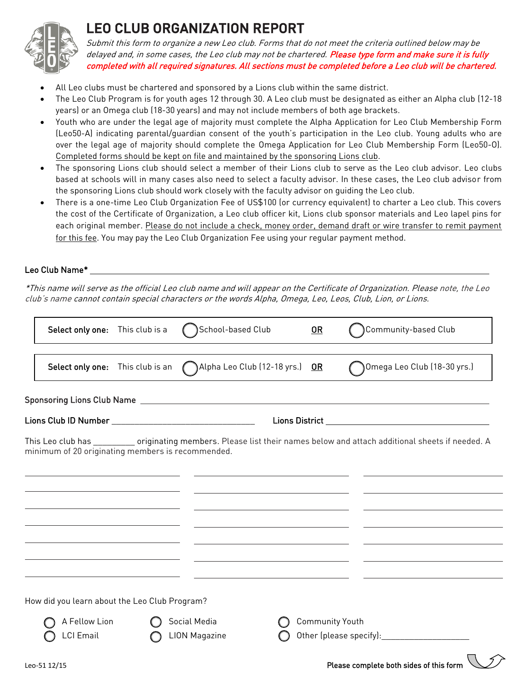

## LEO CLUB ORGANIZATION REPORT

Submit this form to organize a new Leo club. Forms that do not meet the criteria outlined below may be delayed and, in some cases, the Leo club may not be chartered. Please type form and make sure it is fully completed with all required signatures. All sections must be completed before a Leo club will be chartered.

- All Leo clubs must be chartered and sponsored by a Lions club within the same district.
- The Leo Club Program is for youth ages 12 through 30. A Leo club must be designated as either an Alpha club (12-18 years) or an Omega club (18-30 years) and may not include members of both age brackets.
- Youth who are under the legal age of majority must complete the Alpha Application for Leo Club Membership Form (Leo50-A) indicating parental/guardian consent of the youth's participation in the Leo club. Young adults who are over the legal age of majority should complete the Omega Application for Leo Club Membership Form (Leo50-O). Completed forms should be kept on file and maintained by the sponsoring Lions club.
- The sponsoring Lions club should select a member of their Lions club to serve as the Leo club advisor. Leo clubs based at schools will in many cases also need to select a faculty advisor. In these cases, the Leo club advisor from the sponsoring Lions club should work closely with the faculty advisor on guiding the Leo club.
- There is a one-time Leo Club Organization Fee of US\$100 (or currency equivalent) to charter a Leo club. This covers the cost of the Certificate of Organization, a Leo club officer kit, Lions club sponsor materials and Leo lapel pins for each original member. Please do not include a check, money order, demand draft or wire transfer to remit payment for this fee. You may pay the Leo Club Organization Fee using your regular payment method.

## Leo Club Name\*

\*This name will serve as the official Leo club name and will appear on the Certificate of Organization. Please note, the Leo club's name cannot contain special characters or the words Alpha, Omega, Leo, Leos, Club, Lion, or Lions.

| Select only one: This club is a                   | School-based Club                    | $OR$                   | Community-based Club                                                                                                                                                                                                          |
|---------------------------------------------------|--------------------------------------|------------------------|-------------------------------------------------------------------------------------------------------------------------------------------------------------------------------------------------------------------------------|
| Select only one: This club is an                  | )Alpha Leo Club (12-18 yrs.)         | <u>OR</u>              | Omega Leo Club (18-30 yrs.)                                                                                                                                                                                                   |
|                                                   |                                      |                        |                                                                                                                                                                                                                               |
|                                                   |                                      |                        |                                                                                                                                                                                                                               |
| minimum of 20 originating members is recommended. |                                      |                        | This Leo club has __________ originating members. Please list their names below and attach additional sheets if needed. A                                                                                                     |
|                                                   |                                      |                        |                                                                                                                                                                                                                               |
|                                                   |                                      |                        |                                                                                                                                                                                                                               |
|                                                   |                                      |                        |                                                                                                                                                                                                                               |
|                                                   |                                      |                        |                                                                                                                                                                                                                               |
|                                                   |                                      |                        |                                                                                                                                                                                                                               |
| How did you learn about the Leo Club Program?     |                                      |                        |                                                                                                                                                                                                                               |
| A Fellow Lion<br>LCI Email                        | Social Media<br><b>LION Magazine</b> | <b>Community Youth</b> | Other (please specify): 0therman contains the control of the control of the control of the control of the control of the control of the control of the control of the control of the control of the control of the control of |
| Leo-51 12/15                                      |                                      |                        | Please complete both sides of this form                                                                                                                                                                                       |